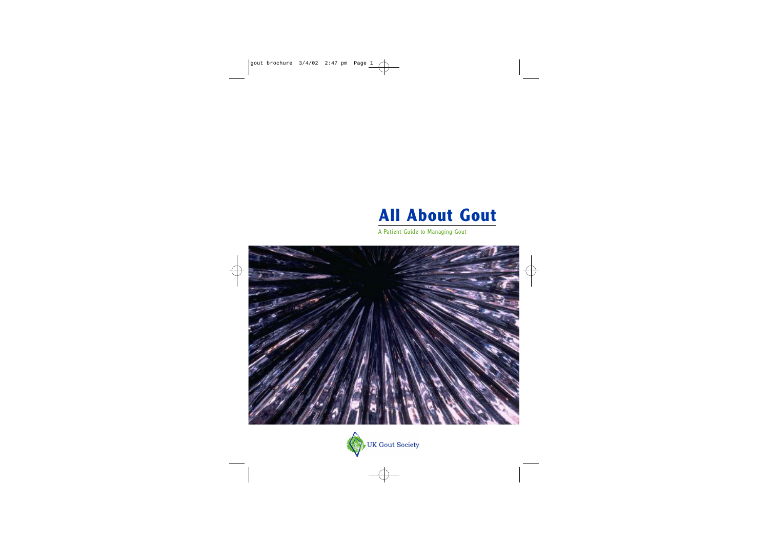

A Patient Guide to Managing Gout





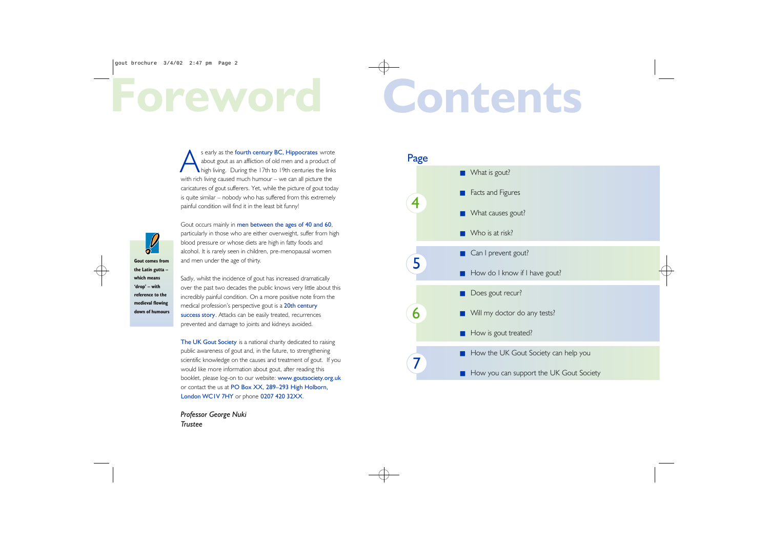S early as the fourth century BC, Hippocrates wrote<br>about gout as an affliction of old men and a product of<br>high living. During the 17th to 19th centuries the links<br>with rich living caused much humour – we can all picture s early as the fourth century BC, Hippocrates wrote about gout as an affliction of old men and a product of high living. During the 17th to 19th centuries the links with rich living caused much humour – we can all picture the caricatures of gout sufferers. Yet, while the picture of gout today is quite similar – nobody who has suffered from this extremely painful condition will find it in the least bit funny!

Gout occurs mainly in men between the ages of 40 and 60, particularly in those who are either overweight, suffer from high blood pressure or whose diets are high in fatty foods and alcohol. It is rarely seen in children, pre-menopausal women and men under the age of thirty.

The UK Gout Society is a national charity dedicated to raising public awareness of gout and, in the future, to strengthening scientific knowledge on the causes and treatment of gout. If you would like more information about gout, after reading this booklet, please log-on to our website: www.goutsociety.org.uk or contact the us at PO Box XX, 289–293 High Holborn, London WC1V 7HY or phone 0207 420 32XX.

 $\frac{1}{2}$ **Gout comes from the Latin gutta – which means 'drop' – with reference to the medieval flowing down of humours**

Sadly, whilst the incidence of gout has increased dramatically over the past two decades the public knows very little about this incredibly painful condition. On a more positive note from the medical profession's perspective gout is a 20th century success story. Attacks can be easily treated, recurrences prevented and damage to joints and kidneys avoided.

*Professor George Nuki Trustee*



# **Foreword Contents**

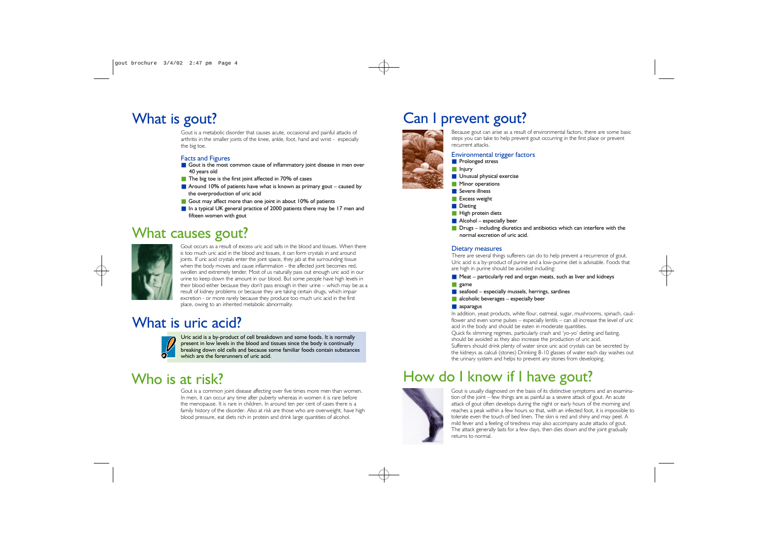# How do I know if I have gout?



Gout is a metabolic disorder that causes acute, occasional and painful attacks of arthritis in the smaller joints of the knee, ankle, foot, hand and wrist - especially the big toe.

### Facts and Figures

- Gout is the most common cause of inflammatory joint disease in men over 40 years old
- The big toe is the first joint affected in 70% of cases
- Around 10% of patients have what is known as primary gout caused by the overproduction of uric acid
- Gout may affect more than one joint in about 10% of patients
- In a typical UK general practice of 2000 patients there may be 17 men and fifteen women with gout

### What causes gout?



Gout occurs as a result of excess uric acid salts in the blood and tissues. When there is too much uric acid in the blood and tissues, it can form crystals in and around joints. If uric acid crystals enter the joint space, they jab at the surrounding tissue when the body moves and cause inflammation - the affected joint becomes red, swollen and extremely tender. Most of us naturally pass out enough uric acid in our urine to keep down the amount in our blood. But some people have high levels in their blood either because they don't pass enough in their urine – which may be as a result of kidney problems or because they are taking certain drugs, which impair excretion - or more rarely because they produce too much uric acid in the first place, owing to an inherited metabolic abnormality.

# What is uric acid?



- Unusual physical exercise
- Minor operations
- Severe illness
- Excess weight
- Dieting
- High protein diets
- $\blacksquare$  Alcohol especially beer
- Drugs including diuretics and antibiotics which can interfere with the normal excretion of uric acid.

Uric acid is a by-product of cell breakdown and some foods. It is normally present in low levels in the blood and tissues since the body is continually breaking down old cells and because some familiar foods contain substances which are the forerunners of uric acid.

# Who is at risk?

Gout is a common joint disease affecting over five times more men than women. In men, it can occur any time after puberty whereas in women it is rare before the menopause. It is rare in children. In around ten per cent of cases there is a family history of the disorder. Also at risk are those who are overweight, have high blood pressure, eat diets rich in protein and drink large quantities of alcohol.

# What is gout? Can I prevent gout?

Because gout can arise as a result of environmental factors, there are some basic steps you can take to help prevent gout occurring in the first place or prevent



recurrent attacks.



■ Prolonged stress ■ Injury

Environmental trigger factors

### Dietary measures

There are several things sufferers can do to help prevent a recurrence of gout. Uric acid is a by-product of purine and a low-purine diet is advisable. Foods that are high in purine should be avoided including:

- $\blacksquare$  Meat particularly red and organ meats, such as liver and kidneys ■ game
- $\blacksquare$  seafood especially mussels, herrings, sardines
- alcoholic beverages especially beer

### ■ asparagus

In addition, yeast products, white flour, oatmeal, sugar, mushrooms, spinach, cauliflower and even some pulses – especially lentils – can all increase the level of uric acid in the body and should be eaten in moderate quantities. Quick fix slimming regimes, particularly crash and 'yo-yo' dieting and fasting, should be avoided as they also increase the production of uric acid. Sufferers should drink plenty of water since uric acid crystals can be secreted by the kidneys as calculi (stones) Drinking 8-10 glasses of water each day washes out the urinary system and helps to prevent any stones from developing.

Gout is usually diagnosed on the basis of its distinctive symptoms and an examination of the joint – few things are as painful as a severe attack of gout. An acute attack of gout often develops during the night or early hours of the morning and reaches a peak within a few hours so that, with an infected foot, it is impossible to tolerate even the touch of bed linen. The skin is red and shiny and may peel. A mild fever and a feeling of tiredness may also accompany acute attacks of gout. The attack generally lasts for a few days, then dies down and the joint gradually returns to normal.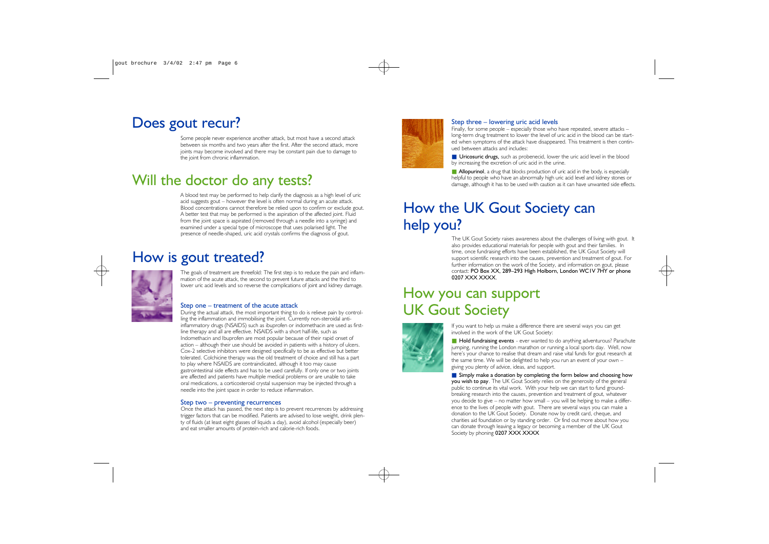### Will the doctor do any tests?

### How is gout treated?

# How the UK Gout Society can help you?

# How you can support UK Gout Society



Some people never experience another attack, but most have a second attack between six months and two years after the first. After the second attack, more joints may become involved and there may be constant pain due to damage to the joint from chronic inflammation.

A blood test may be performed to help clarify the diagnosis as a high level of uric acid suggests gout – however the level is often normal during an acute attack. Blood concentrations cannot therefore be relied upon to confirm or exclude gout. A better test that may be performed is the aspiration of the affected joint. Fluid from the joint space is aspirated (removed through a needle into a syringe) and examined under a special type of microscope that uses polarised light. The presence of needle-shaped, uric acid crystals confirms the diagnosis of gout.

The goals of treatment are threefold: The first step is to reduce the pain and inflammation of the acute attack, the second to prevent future attacks and the third to lower uric acid levels and so reverse the complications of joint and kidney damage.

### Step one – treatment of the acute attack

■ Uricosuric drugs, such as probenecid, lower the uric acid level in the blood by increasing the excretion of uric acid in the urine.

■ **Allopurinol**, a drug that blocks production of uric acid in the body, is especially helpful to people who have an abnormally high uric acid level and kidney stones or damage, although it has to be used with caution as it can have unwanted side effects.

The UK Gout Society raises awareness about the challenges of living with gout. It also provides educational materials for people with gout and their families. In time, once fundraising efforts have been established, the UK Gout Society will support scientific research into the causes, prevention and treatment of gout. For further information on the work of the Society, and information on gout, please contact: PO Box XX, 289–293 High Holborn, London WC1V 7HY or phone 0207 XXX XXXX.

During the actual attack, the most important thing to do is relieve pain by controlling the inflammation and immobilising the joint. Currently non-steroidal antiinflammatory drugs (NSAIDS) such as ibuprofen or indomethacin are used as firstline therapy and all are effective. NSAIDS with a short half-life, such as Indomethacin and Ibuprofen are most popular because of their rapid onset of action – although their use should be avoided in patients with a history of ulcers. Cox-2 selective inhibitors were designed specifically to be as effective but better tolerated. Colchicine therapy was the old treatment of choice and still has a part to play where NSAIDS are contraindicated, although it too may cause gastrointestinal side effects and has to be used carefully. If only one or two joints are affected and patients have multiple medical problems or are unable to take oral medications, a corticosteroid crystal suspension may be injected through a needle into the joint space in order to reduce inflammation.

■ Hold fundraising events - ever wanted to do anything adventurous? Parachute jumping, running the London marathon or running a local sports day. Well, now here's your chance to realise that dream and raise vital funds for gout research at the same time. We will be delighted to help you run an event of your own – giving you plenty of advice, ideas, and support.

■ Simply make a donation by completing the form below and choosing how you wish to pay. The UK Gout Society relies on the generosity of the general public to continue its vital work. With your help we can start to fund groundbreaking research into the causes, prevention and treatment of gout, whatever you decide to give – no matter how small – you will be helping to make a difference to the lives of people with gout. There are several ways you can make a donation to the UK Gout Society. Donate now by credit card, cheque, and charities aid foundation or by standing order. Or find out more about how you can donate through leaving a legacy or becoming a member of the UK Gout Society by phoning 0207 XXX XXXX



### Step two – preventing recurrences

Once the attack has passed, the next step is to prevent recurrences by addressing trigger factors that can be modified. Patients are advised to lose weight, drink plenty of fluids (at least eight glasses of liquids a day), avoid alcohol (especially beer) and eat smaller amounts of protein-rich and calorie-rich foods.



Finally, for some people – especially those who have repeated, severe attacks – long-term drug treatment to lower the level of uric acid in the blood can be started when symptoms of the attack have disappeared. This treatment is then continued between attacks and includes:

If you want to help us make a difference there are several ways you can get involved in the work of the UK Gout Society:

## Does gout recur? Step three – lowering uric acid levels